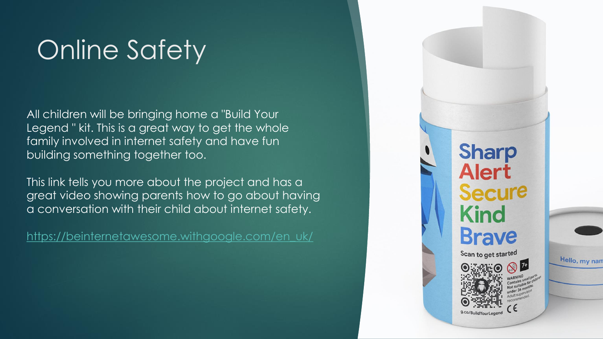# Online Safety

All children will be bringing home a "Build Your Legend " kit. This is a great way to get the whole family involved in internet safety and have fun building something together too.

This link tells you more about the project and has a great video showing parents how to go about having a conversation with their child about internet safety.

[https://beinternetawesome.withgoogle.com/en\\_uk/](https://beinternetawesome.withgoogle.com/en_uk/)

**Sharp Alert Secure Kind Brave** Scan to get started

Hello, my nam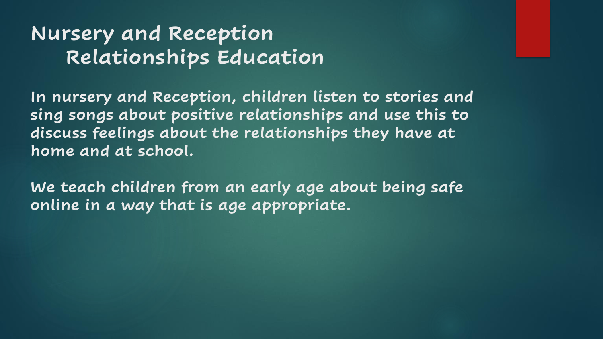## **Nursery and Reception Relationships Education**

**In nursery and Reception, children listen to stories and sing songs about positive relationships and use this to discuss feelings about the relationships they have at home and at school.**

**We teach children from an early age about being safe online in a way that is age appropriate.**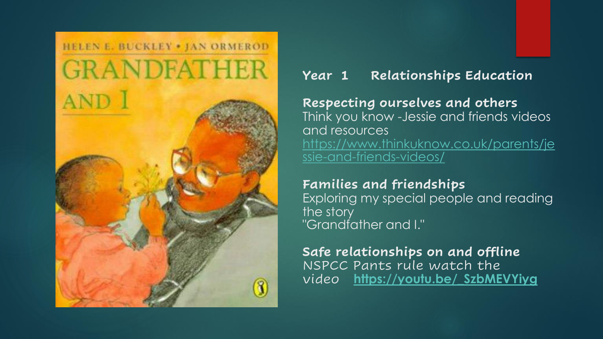## HELEN E. BUCKLEY . JAN ORMEROD **GRANDFATHER** AND 1

3

### **Year 1 Relationships Education**

#### **Respecting ourselves and others** Think you know -Jessie and friends videos

and resources [https://www.thinkuknow.co.uk/parents/je](https://www.thinkuknow.co.uk/parents/jessie-and-friends-videos/) ssie-and-friends-videos/

#### **Families and friendships**

Exploring my special people and reading the story "Grandfather and I."

**Safe relationships on and offline** NSPCC Pants rule watch the video **[https://youtu.be/\\_SzbMEVYiyg](https://youtu.be/_SzbMEVYiyg)**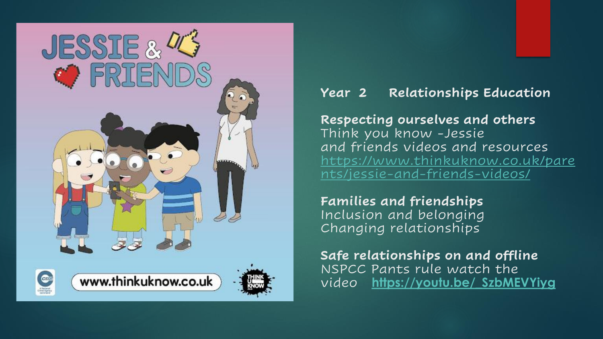

### **Year 2 Relationships Education**

**Respecting ourselves and others** Think you know -Jessie and friends videos and resources [https://www.thinkuknow.co.uk/pare](https://www.thinkuknow.co.uk/parents/jessie-and-friends-videos/) nts/jessie-and-friends-videos/

**Families and friendships** Inclusion and belonging Changing relationships

**Safe relationships on and offline** NSPCC Pants rule watch the video **[https://youtu.be/\\_SzbMEVYiyg](https://youtu.be/_SzbMEVYiyg)**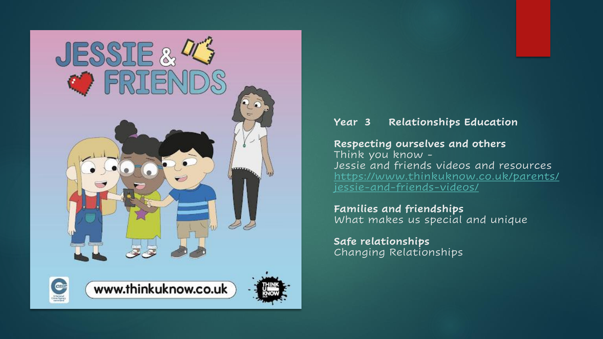

#### **Year 3 Relationships Education**

#### **Respecting ourselves and others**

Think you know - Jessie and friends videos and resources [https://www.thinkuknow.co.uk/parents/](https://www.thinkuknow.co.uk/parents/jessie-and-friends-videos/) jessie-and-friends-videos/

**Families and friendships** What makes us special and unique

**Safe relationships** Changing Relationships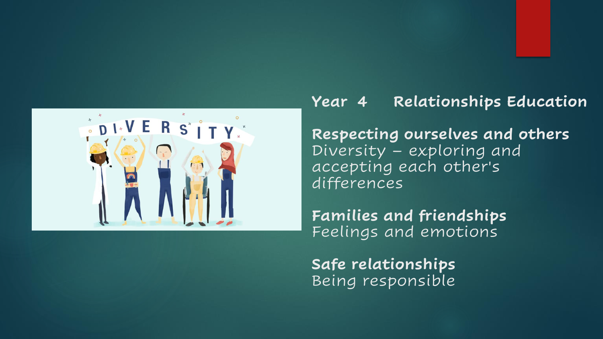

## **Year 4 Relationships Education**

**Respecting ourselves and others** Diversity – exploring and accepting each other's differences

**Families and friendships** Feelings and emotions

**Safe relationships** Being responsible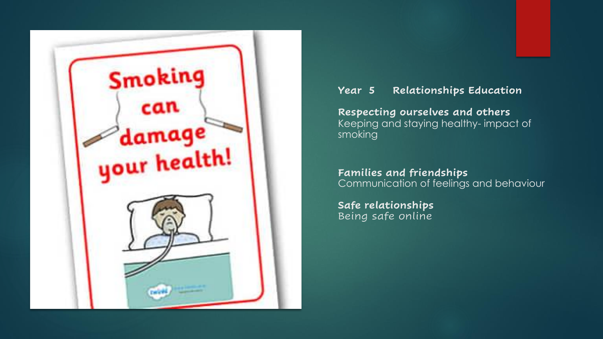

#### **Year 5 Relationships Education**

**Respecting ourselves and others** Keeping and staying healthy- impact of smoking

**Families and friendships** Communication of feelings and behaviour

**Safe relationships** Being safe online